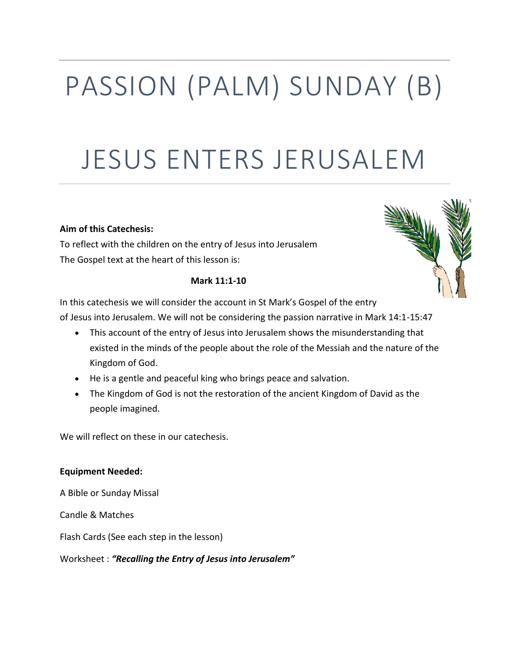# PASSION (PALM) SUNDAY (B)

# JESUS ENTERS JERUSALEM

# **Aim of this Catechesis:**

To reflect with the children on the entry of Jesus into Jerusalem The Gospel text at the heart of this lesson is:

# **Mark 11:1-10**

In this catechesis we will consider the account in St Mark's Gospel of the entry of Jesus into Jerusalem. We will not be considering the passion narrative in Mark 14:1-15:47

- This account of the entry of Jesus into Jerusalem shows the misunderstanding that existed in the minds of the people about the role of the Messiah and the nature of the Kingdom of God.
- He is a gentle and peaceful king who brings peace and salvation.
- The Kingdom of God is not the restoration of the ancient Kingdom of David as the people imagined.

We will reflect on these in our catechesis.

# **Equipment Needed:**

A Bible or Sunday Missal

Candle & Matches

Flash Cards (See each step in the lesson)

Worksheet : *"Recalling the Entry of Jesus into Jerusalem"*

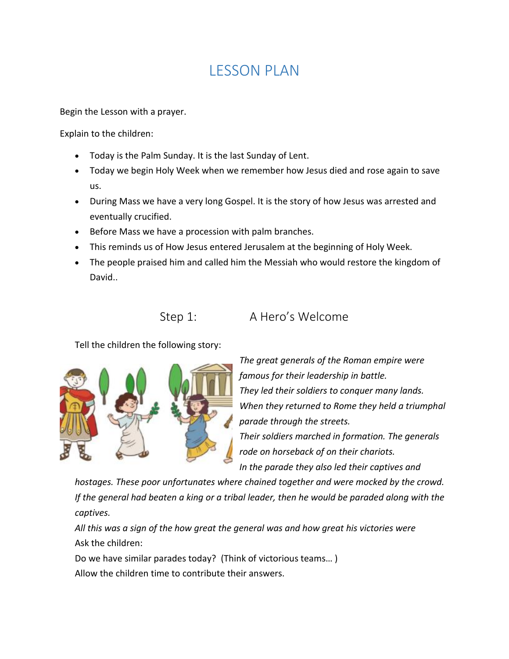# LESSON PLAN

Begin the Lesson with a prayer.

Explain to the children:

- Today is the Palm Sunday. It is the last Sunday of Lent.
- Today we begin Holy Week when we remember how Jesus died and rose again to save us.
- During Mass we have a very long Gospel. It is the story of how Jesus was arrested and eventually crucified.
- Before Mass we have a procession with palm branches.
- This reminds us of How Jesus entered Jerusalem at the beginning of Holy Week.
- The people praised him and called him the Messiah who would restore the kingdom of David..

Step 1: A Hero's Welcome

Tell the children the following story:



*The great generals of the Roman empire were famous for their leadership in battle. They led their soldiers to conquer many lands. When they returned to Rome they held a triumphal parade through the streets. Their soldiers marched in formation. The generals rode on horseback of on their chariots. In the parade they also led their captives and* 

*hostages. These poor unfortunates where chained together and were mocked by the crowd. If the general had beaten a king or a tribal leader, then he would be paraded along with the captives.*

*All this was a sign of the how great the general was and how great his victories were* Ask the children:

Do we have similar parades today? (Think of victorious teams… ) Allow the children time to contribute their answers.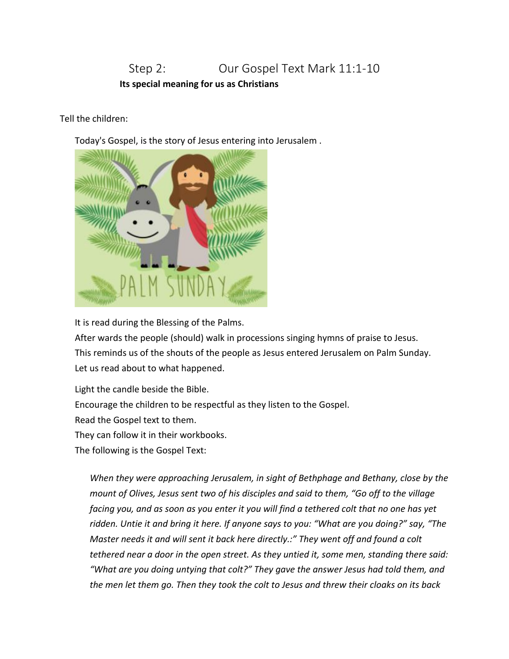# Step 2: **Our Gospel Text Mark 11:1-10 Its special meaning for us as Christians**

Tell the children:

Today's Gospel, is the story of Jesus entering into Jerusalem .



It is read during the Blessing of the Palms.

After wards the people (should) walk in processions singing hymns of praise to Jesus. This reminds us of the shouts of the people as Jesus entered Jerusalem on Palm Sunday. Let us read about to what happened.

Light the candle beside the Bible. Encourage the children to be respectful as they listen to the Gospel. Read the Gospel text to them. They can follow it in their workbooks. The following is the Gospel Text:

*When they were approaching Jerusalem, in sight of Bethphage and Bethany, close by the mount of Olives, Jesus sent two of his disciples and said to them, "Go off to the village facing you, and as soon as you enter it you will find a tethered colt that no one has yet ridden. Untie it and bring it here. If anyone says to you: "What are you doing?" say, "The Master needs it and will sent it back here directly.:" They went off and found a colt tethered near a door in the open street. As they untied it, some men, standing there said: "What are you doing untying that colt?" They gave the answer Jesus had told them, and the men let them go. Then they took the colt to Jesus and threw their cloaks on its back*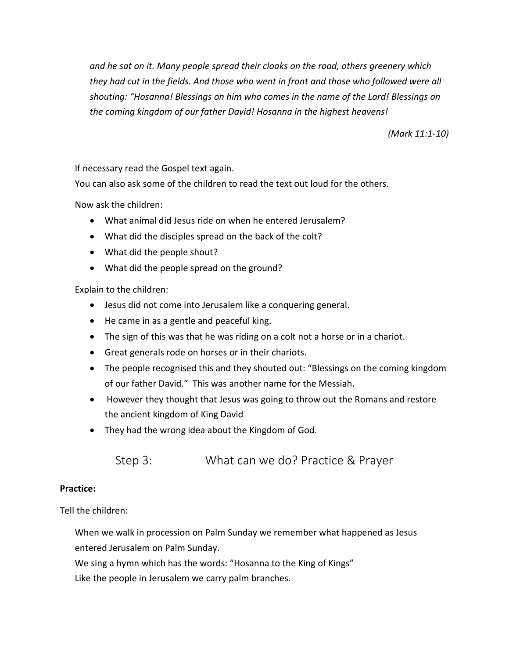*and he sat on it. Many people spread their cloaks on the road, others greenery which they had cut in the fields. And those who went in front and those who followed were all shouting: "Hosanna! Blessings on him who comes in the name of the Lord! Blessings on the coming kingdom of our father David! Hosanna in the highest heavens!*

*(Mark 11:1-10)*

If necessary read the Gospel text again.

You can also ask some of the children to read the text out loud for the others.

Now ask the children:

- What animal did Jesus ride on when he entered Jerusalem?
- What did the disciples spread on the back of the colt?
- What did the people shout?
- What did the people spread on the ground?

Explain to the children:

- Jesus did not come into Jerusalem like a conquering general.
- He came in as a gentle and peaceful king.
- The sign of this was that he was riding on a colt not a horse or in a chariot.
- Great generals rode on horses or in their chariots.
- The people recognised this and they shouted out: "Blessings on the coming kingdom of our father David." This was another name for the Messiah.
- However they thought that Jesus was going to throw out the Romans and restore the ancient kingdom of King David
- They had the wrong idea about the Kingdom of God.

Step 3: What can we do? Practice & Prayer

### **Practice:**

Tell the children:

When we walk in procession on Palm Sunday we remember what happened as Jesus entered Jerusalem on Palm Sunday.

We sing a hymn which has the words: "Hosanna to the King of Kings"

Like the people in Jerusalem we carry palm branches.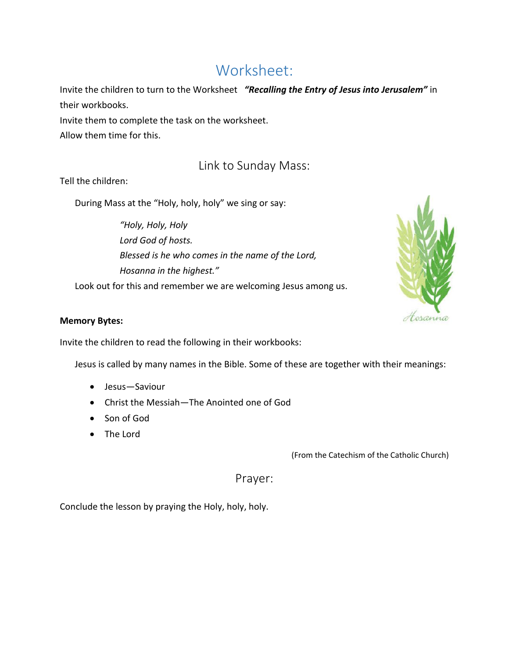# Worksheet:

Invite the children to turn to the Worksheet *"Recalling the Entry of Jesus into Jerusalem"* in their workbooks.

Invite them to complete the task on the worksheet. Allow them time for this.

# Link to Sunday Mass:

Tell the children:

During Mass at the "Holy, holy, holy" we sing or say:

*"Holy, Holy, Holy Lord God of hosts. Blessed is he who comes in the name of the Lord, Hosanna in the highest."*

Look out for this and remember we are welcoming Jesus among us.



# **Memory Bytes:**

Invite the children to read the following in their workbooks:

Jesus is called by many names in the Bible. Some of these are together with their meanings:

- Jesus—Saviour
- Christ the Messiah—The Anointed one of God
- Son of God
- The Lord

(From the Catechism of the Catholic Church)

Prayer:

Conclude the lesson by praying the Holy, holy, holy.